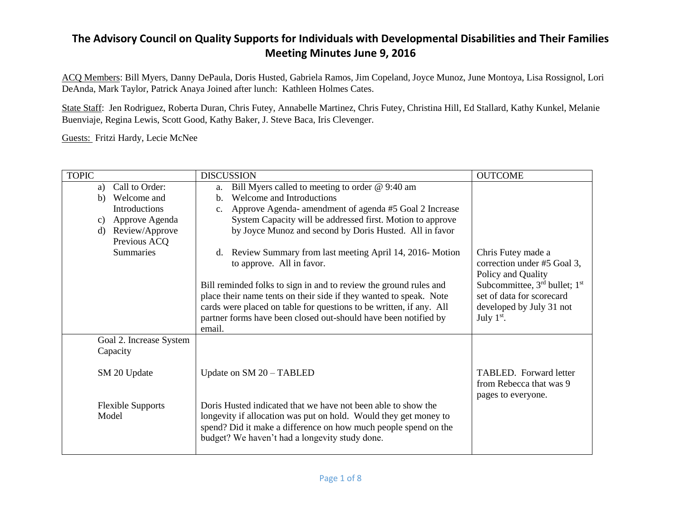ACQ Members: Bill Myers, Danny DePaula, Doris Husted, Gabriela Ramos, Jim Copeland, Joyce Munoz, June Montoya, Lisa Rossignol, Lori DeAnda, Mark Taylor, Patrick Anaya Joined after lunch: Kathleen Holmes Cates.

State Staff: Jen Rodriguez, Roberta Duran, Chris Futey, Annabelle Martinez, Chris Futey, Christina Hill, Ed Stallard, Kathy Kunkel, Melanie Buenviaje, Regina Lewis, Scott Good, Kathy Baker, J. Steve Baca, Iris Clevenger.

Guests: Fritzi Hardy, Lecie McNee

| <b>TOPIC</b>                        | <b>DISCUSSION</b>                                                                                                                                                                                                                                      | <b>OUTCOME</b>                                                                 |
|-------------------------------------|--------------------------------------------------------------------------------------------------------------------------------------------------------------------------------------------------------------------------------------------------------|--------------------------------------------------------------------------------|
| Call to Order:<br>a)                | Bill Myers called to meeting to order @ 9:40 am<br>a.                                                                                                                                                                                                  |                                                                                |
| Welcome and<br>b)                   | Welcome and Introductions<br>$\mathbf{b}$ .                                                                                                                                                                                                            |                                                                                |
| Introductions                       | Approve Agenda- amendment of agenda #5 Goal 2 Increase<br>c.                                                                                                                                                                                           |                                                                                |
| Approve Agenda<br>c)                | System Capacity will be addressed first. Motion to approve                                                                                                                                                                                             |                                                                                |
| Review/Approve<br>d)                | by Joyce Munoz and second by Doris Husted. All in favor                                                                                                                                                                                                |                                                                                |
| Previous ACQ                        |                                                                                                                                                                                                                                                        |                                                                                |
| <b>Summaries</b>                    | d. Review Summary from last meeting April 14, 2016-Motion<br>to approve. All in favor.                                                                                                                                                                 | Chris Futey made a<br>correction under #5 Goal 3,<br>Policy and Quality        |
|                                     | Bill reminded folks to sign in and to review the ground rules and                                                                                                                                                                                      | Subcommittee, 3rd bullet; 1st                                                  |
|                                     | place their name tents on their side if they wanted to speak. Note                                                                                                                                                                                     | set of data for scorecard                                                      |
|                                     | cards were placed on table for questions to be written, if any. All                                                                                                                                                                                    | developed by July 31 not                                                       |
|                                     | partner forms have been closed out-should have been notified by<br>email.                                                                                                                                                                              | July $1st$ .                                                                   |
| Goal 2. Increase System<br>Capacity |                                                                                                                                                                                                                                                        |                                                                                |
| SM 20 Update                        | Update on SM 20 - TABLED                                                                                                                                                                                                                               | <b>TABLED.</b> Forward letter<br>from Rebecca that was 9<br>pages to everyone. |
| <b>Flexible Supports</b><br>Model   | Doris Husted indicated that we have not been able to show the<br>longevity if allocation was put on hold. Would they get money to<br>spend? Did it make a difference on how much people spend on the<br>budget? We haven't had a longevity study done. |                                                                                |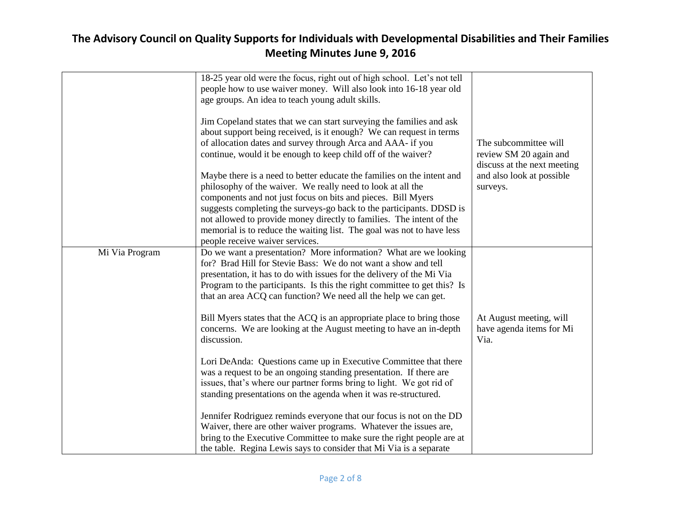|                | 18-25 year old were the focus, right out of high school. Let's not tell<br>people how to use waiver money. Will also look into 16-18 year old                                                                                                                                           |                                                             |
|----------------|-----------------------------------------------------------------------------------------------------------------------------------------------------------------------------------------------------------------------------------------------------------------------------------------|-------------------------------------------------------------|
|                | age groups. An idea to teach young adult skills.                                                                                                                                                                                                                                        |                                                             |
|                | Jim Copeland states that we can start surveying the families and ask<br>about support being received, is it enough? We can request in terms                                                                                                                                             |                                                             |
|                | of allocation dates and survey through Arca and AAA- if you                                                                                                                                                                                                                             | The subcommittee will                                       |
|                | continue, would it be enough to keep child off of the waiver?                                                                                                                                                                                                                           | review SM 20 again and<br>discuss at the next meeting       |
|                | Maybe there is a need to better educate the families on the intent and                                                                                                                                                                                                                  | and also look at possible                                   |
|                | philosophy of the waiver. We really need to look at all the<br>components and not just focus on bits and pieces. Bill Myers                                                                                                                                                             | surveys.                                                    |
|                | suggests completing the surveys-go back to the participants. DDSD is                                                                                                                                                                                                                    |                                                             |
|                | not allowed to provide money directly to families. The intent of the<br>memorial is to reduce the waiting list. The goal was not to have less                                                                                                                                           |                                                             |
|                | people receive waiver services.                                                                                                                                                                                                                                                         |                                                             |
| Mi Via Program | Do we want a presentation? More information? What are we looking<br>for? Brad Hill for Stevie Bass: We do not want a show and tell<br>presentation, it has to do with issues for the delivery of the Mi Via                                                                             |                                                             |
|                | Program to the participants. Is this the right committee to get this? Is<br>that an area ACQ can function? We need all the help we can get.                                                                                                                                             |                                                             |
|                | Bill Myers states that the ACQ is an appropriate place to bring those<br>concerns. We are looking at the August meeting to have an in-depth<br>discussion.                                                                                                                              | At August meeting, will<br>have agenda items for Mi<br>Via. |
|                | Lori DeAnda: Questions came up in Executive Committee that there<br>was a request to be an ongoing standing presentation. If there are<br>issues, that's where our partner forms bring to light. We got rid of<br>standing presentations on the agenda when it was re-structured.       |                                                             |
|                | Jennifer Rodriguez reminds everyone that our focus is not on the DD<br>Waiver, there are other waiver programs. Whatever the issues are,<br>bring to the Executive Committee to make sure the right people are at<br>the table. Regina Lewis says to consider that Mi Via is a separate |                                                             |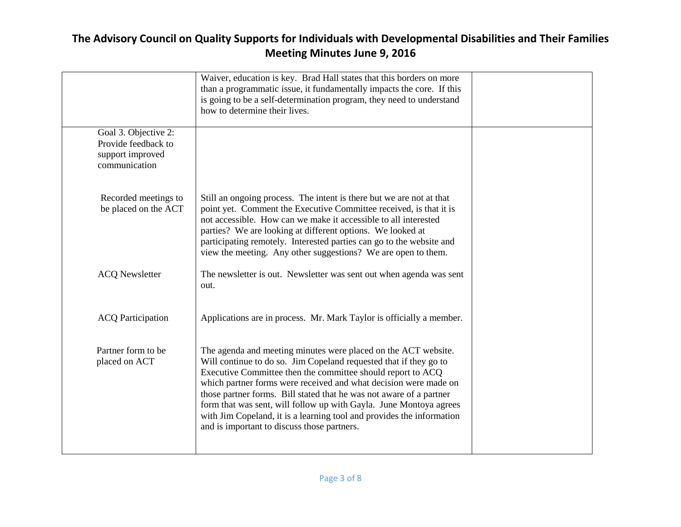|                                                                                  | Waiver, education is key. Brad Hall states that this borders on more<br>than a programmatic issue, it fundamentally impacts the core. If this<br>is going to be a self-determination program, they need to understand<br>how to determine their lives.                                                                                                                                                                                                                                                                                      |  |
|----------------------------------------------------------------------------------|---------------------------------------------------------------------------------------------------------------------------------------------------------------------------------------------------------------------------------------------------------------------------------------------------------------------------------------------------------------------------------------------------------------------------------------------------------------------------------------------------------------------------------------------|--|
| Goal 3. Objective 2:<br>Provide feedback to<br>support improved<br>communication |                                                                                                                                                                                                                                                                                                                                                                                                                                                                                                                                             |  |
| Recorded meetings to<br>be placed on the ACT                                     | Still an ongoing process. The intent is there but we are not at that<br>point yet. Comment the Executive Committee received, is that it is<br>not accessible. How can we make it accessible to all interested<br>parties? We are looking at different options. We looked at<br>participating remotely. Interested parties can go to the website and<br>view the meeting. Any other suggestions? We are open to them.                                                                                                                        |  |
| <b>ACQ Newsletter</b>                                                            | The newsletter is out. Newsletter was sent out when agenda was sent<br>out.                                                                                                                                                                                                                                                                                                                                                                                                                                                                 |  |
| <b>ACQ</b> Participation                                                         | Applications are in process. Mr. Mark Taylor is officially a member.                                                                                                                                                                                                                                                                                                                                                                                                                                                                        |  |
| Partner form to be<br>placed on ACT                                              | The agenda and meeting minutes were placed on the ACT website.<br>Will continue to do so. Jim Copeland requested that if they go to<br>Executive Committee then the committee should report to ACQ<br>which partner forms were received and what decision were made on<br>those partner forms. Bill stated that he was not aware of a partner<br>form that was sent, will follow up with Gayla. June Montoya agrees<br>with Jim Copeland, it is a learning tool and provides the information<br>and is important to discuss those partners. |  |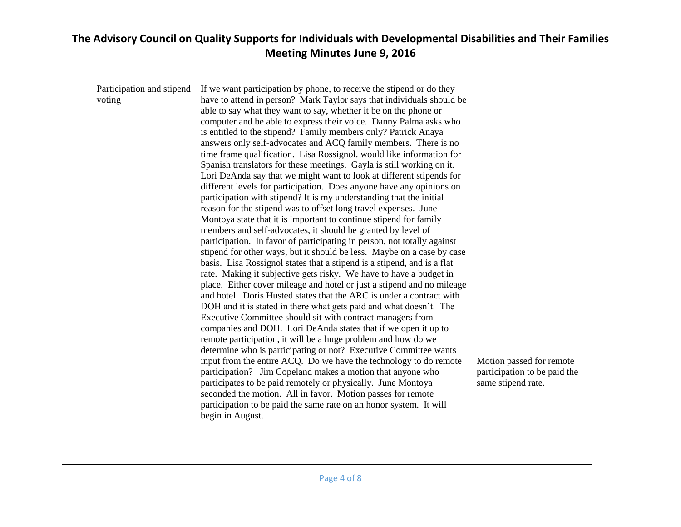| Participation and stipend<br>voting | If we want participation by phone, to receive the stipend or do they<br>have to attend in person? Mark Taylor says that individuals should be<br>able to say what they want to say, whether it be on the phone or<br>computer and be able to express their voice. Danny Palma asks who<br>is entitled to the stipend? Family members only? Patrick Anaya<br>answers only self-advocates and ACQ family members. There is no<br>time frame qualification. Lisa Rossignol. would like information for<br>Spanish translators for these meetings. Gayla is still working on it.<br>Lori DeAnda say that we might want to look at different stipends for<br>different levels for participation. Does anyone have any opinions on<br>participation with stipend? It is my understanding that the initial<br>reason for the stipend was to offset long travel expenses. June<br>Montoya state that it is important to continue stipend for family                                                                                                                                                                                                                                                                                 |                                                                                |
|-------------------------------------|-----------------------------------------------------------------------------------------------------------------------------------------------------------------------------------------------------------------------------------------------------------------------------------------------------------------------------------------------------------------------------------------------------------------------------------------------------------------------------------------------------------------------------------------------------------------------------------------------------------------------------------------------------------------------------------------------------------------------------------------------------------------------------------------------------------------------------------------------------------------------------------------------------------------------------------------------------------------------------------------------------------------------------------------------------------------------------------------------------------------------------------------------------------------------------------------------------------------------------|--------------------------------------------------------------------------------|
|                                     | members and self-advocates, it should be granted by level of<br>participation. In favor of participating in person, not totally against<br>stipend for other ways, but it should be less. Maybe on a case by case<br>basis. Lisa Rossignol states that a stipend is a stipend, and is a flat<br>rate. Making it subjective gets risky. We have to have a budget in<br>place. Either cover mileage and hotel or just a stipend and no mileage<br>and hotel. Doris Husted states that the ARC is under a contract with<br>DOH and it is stated in there what gets paid and what doesn't. The<br>Executive Committee should sit with contract managers from<br>companies and DOH. Lori DeAnda states that if we open it up to<br>remote participation, it will be a huge problem and how do we<br>determine who is participating or not? Executive Committee wants<br>input from the entire ACQ. Do we have the technology to do remote<br>participation? Jim Copeland makes a motion that anyone who<br>participates to be paid remotely or physically. June Montoya<br>seconded the motion. All in favor. Motion passes for remote<br>participation to be paid the same rate on an honor system. It will<br>begin in August. | Motion passed for remote<br>participation to be paid the<br>same stipend rate. |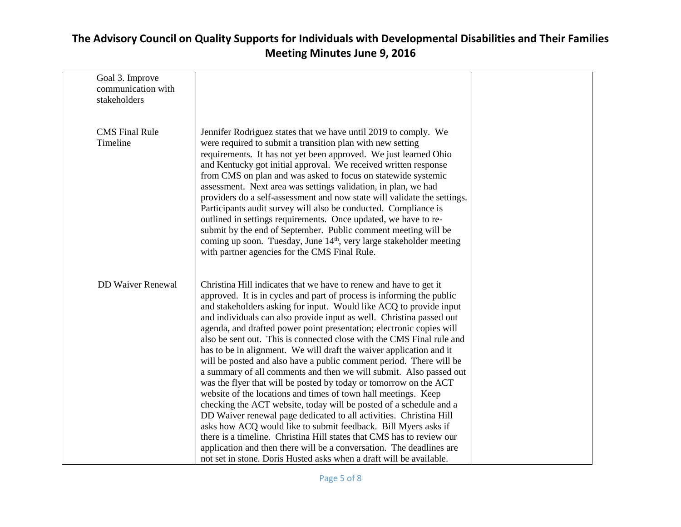| Goal 3. Improve<br>communication with<br>stakeholders |                                                                                                                                                                                                                                                                                                                                                                                                                                                                                                                                                                                                                                                                                                                                                                                                                                                                                                                                                                                                                                                                                                                                                                                                                                            |  |
|-------------------------------------------------------|--------------------------------------------------------------------------------------------------------------------------------------------------------------------------------------------------------------------------------------------------------------------------------------------------------------------------------------------------------------------------------------------------------------------------------------------------------------------------------------------------------------------------------------------------------------------------------------------------------------------------------------------------------------------------------------------------------------------------------------------------------------------------------------------------------------------------------------------------------------------------------------------------------------------------------------------------------------------------------------------------------------------------------------------------------------------------------------------------------------------------------------------------------------------------------------------------------------------------------------------|--|
| <b>CMS</b> Final Rule<br>Timeline                     | Jennifer Rodriguez states that we have until 2019 to comply. We<br>were required to submit a transition plan with new setting<br>requirements. It has not yet been approved. We just learned Ohio<br>and Kentucky got initial approval. We received written response<br>from CMS on plan and was asked to focus on statewide systemic<br>assessment. Next area was settings validation, in plan, we had<br>providers do a self-assessment and now state will validate the settings.<br>Participants audit survey will also be conducted. Compliance is<br>outlined in settings requirements. Once updated, we have to re-<br>submit by the end of September. Public comment meeting will be<br>coming up soon. Tuesday, June 14 <sup>th</sup> , very large stakeholder meeting<br>with partner agencies for the CMS Final Rule.                                                                                                                                                                                                                                                                                                                                                                                                            |  |
| <b>DD Waiver Renewal</b>                              | Christina Hill indicates that we have to renew and have to get it<br>approved. It is in cycles and part of process is informing the public<br>and stakeholders asking for input. Would like ACQ to provide input<br>and individuals can also provide input as well. Christina passed out<br>agenda, and drafted power point presentation; electronic copies will<br>also be sent out. This is connected close with the CMS Final rule and<br>has to be in alignment. We will draft the waiver application and it<br>will be posted and also have a public comment period. There will be<br>a summary of all comments and then we will submit. Also passed out<br>was the flyer that will be posted by today or tomorrow on the ACT<br>website of the locations and times of town hall meetings. Keep<br>checking the ACT website, today will be posted of a schedule and a<br>DD Waiver renewal page dedicated to all activities. Christina Hill<br>asks how ACQ would like to submit feedback. Bill Myers asks if<br>there is a timeline. Christina Hill states that CMS has to review our<br>application and then there will be a conversation. The deadlines are<br>not set in stone. Doris Husted asks when a draft will be available. |  |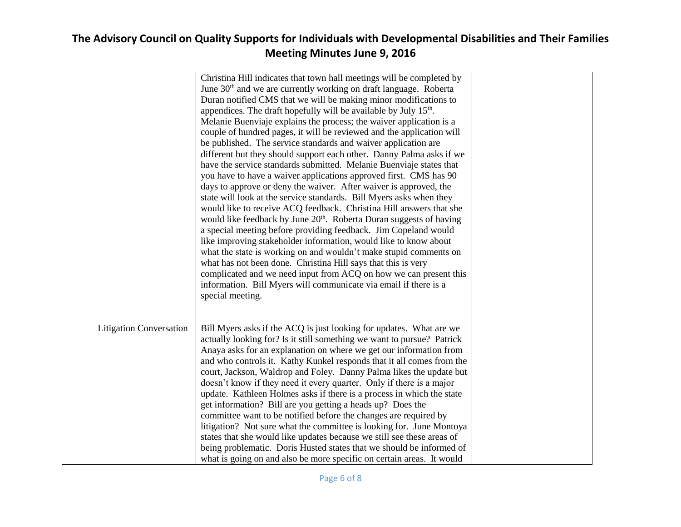|                                | Christina Hill indicates that town hall meetings will be completed by<br>June 30 <sup>th</sup> and we are currently working on draft language. Roberta<br>Duran notified CMS that we will be making minor modifications to<br>appendices. The draft hopefully will be available by July 15 <sup>th</sup> .<br>Melanie Buenviaje explains the process; the waiver application is a<br>couple of hundred pages, it will be reviewed and the application will<br>be published. The service standards and waiver application are<br>different but they should support each other. Danny Palma asks if we<br>have the service standards submitted. Melanie Buenviaje states that                                                                                                                                                                                                                                                                               |  |
|--------------------------------|-----------------------------------------------------------------------------------------------------------------------------------------------------------------------------------------------------------------------------------------------------------------------------------------------------------------------------------------------------------------------------------------------------------------------------------------------------------------------------------------------------------------------------------------------------------------------------------------------------------------------------------------------------------------------------------------------------------------------------------------------------------------------------------------------------------------------------------------------------------------------------------------------------------------------------------------------------------|--|
|                                | you have to have a waiver applications approved first. CMS has 90<br>days to approve or deny the waiver. After waiver is approved, the<br>state will look at the service standards. Bill Myers asks when they<br>would like to receive ACQ feedback. Christina Hill answers that she<br>would like feedback by June 20 <sup>th</sup> . Roberta Duran suggests of having<br>a special meeting before providing feedback. Jim Copeland would<br>like improving stakeholder information, would like to know about<br>what the state is working on and wouldn't make stupid comments on<br>what has not been done. Christina Hill says that this is very<br>complicated and we need input from ACQ on how we can present this<br>information. Bill Myers will communicate via email if there is a<br>special meeting.                                                                                                                                         |  |
| <b>Litigation Conversation</b> | Bill Myers asks if the ACQ is just looking for updates. What are we<br>actually looking for? Is it still something we want to pursue? Patrick<br>Anaya asks for an explanation on where we get our information from<br>and who controls it. Kathy Kunkel responds that it all comes from the<br>court, Jackson, Waldrop and Foley. Danny Palma likes the update but<br>doesn't know if they need it every quarter. Only if there is a major<br>update. Kathleen Holmes asks if there is a process in which the state<br>get information? Bill are you getting a heads up? Does the<br>committee want to be notified before the changes are required by<br>litigation? Not sure what the committee is looking for. June Montoya<br>states that she would like updates because we still see these areas of<br>being problematic. Doris Husted states that we should be informed of<br>what is going on and also be more specific on certain areas. It would |  |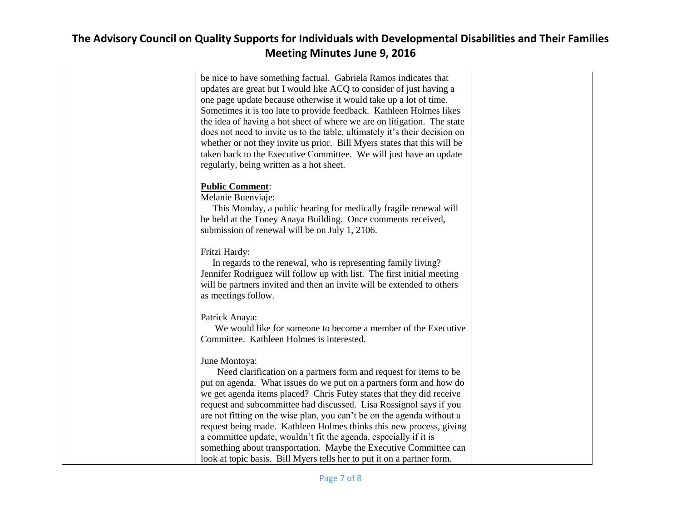| whether or not they invite us prior. Bill Myers states that this will be |                                                                                                                                                                                                                                                                                                                                                                                                                                                                                                                                                                                                                                                                                                                                                                                                                                                                                                                                                                                                                                                                                                                                                                                                                                                                                                                                                                                                                                                                                                                                                                                                                                                                                                                                 |
|--------------------------------------------------------------------------|---------------------------------------------------------------------------------------------------------------------------------------------------------------------------------------------------------------------------------------------------------------------------------------------------------------------------------------------------------------------------------------------------------------------------------------------------------------------------------------------------------------------------------------------------------------------------------------------------------------------------------------------------------------------------------------------------------------------------------------------------------------------------------------------------------------------------------------------------------------------------------------------------------------------------------------------------------------------------------------------------------------------------------------------------------------------------------------------------------------------------------------------------------------------------------------------------------------------------------------------------------------------------------------------------------------------------------------------------------------------------------------------------------------------------------------------------------------------------------------------------------------------------------------------------------------------------------------------------------------------------------------------------------------------------------------------------------------------------------|
|                                                                          |                                                                                                                                                                                                                                                                                                                                                                                                                                                                                                                                                                                                                                                                                                                                                                                                                                                                                                                                                                                                                                                                                                                                                                                                                                                                                                                                                                                                                                                                                                                                                                                                                                                                                                                                 |
| regularly, being written as a hot sheet.                                 |                                                                                                                                                                                                                                                                                                                                                                                                                                                                                                                                                                                                                                                                                                                                                                                                                                                                                                                                                                                                                                                                                                                                                                                                                                                                                                                                                                                                                                                                                                                                                                                                                                                                                                                                 |
|                                                                          |                                                                                                                                                                                                                                                                                                                                                                                                                                                                                                                                                                                                                                                                                                                                                                                                                                                                                                                                                                                                                                                                                                                                                                                                                                                                                                                                                                                                                                                                                                                                                                                                                                                                                                                                 |
| <b>Public Comment:</b>                                                   |                                                                                                                                                                                                                                                                                                                                                                                                                                                                                                                                                                                                                                                                                                                                                                                                                                                                                                                                                                                                                                                                                                                                                                                                                                                                                                                                                                                                                                                                                                                                                                                                                                                                                                                                 |
|                                                                          |                                                                                                                                                                                                                                                                                                                                                                                                                                                                                                                                                                                                                                                                                                                                                                                                                                                                                                                                                                                                                                                                                                                                                                                                                                                                                                                                                                                                                                                                                                                                                                                                                                                                                                                                 |
|                                                                          |                                                                                                                                                                                                                                                                                                                                                                                                                                                                                                                                                                                                                                                                                                                                                                                                                                                                                                                                                                                                                                                                                                                                                                                                                                                                                                                                                                                                                                                                                                                                                                                                                                                                                                                                 |
|                                                                          |                                                                                                                                                                                                                                                                                                                                                                                                                                                                                                                                                                                                                                                                                                                                                                                                                                                                                                                                                                                                                                                                                                                                                                                                                                                                                                                                                                                                                                                                                                                                                                                                                                                                                                                                 |
|                                                                          |                                                                                                                                                                                                                                                                                                                                                                                                                                                                                                                                                                                                                                                                                                                                                                                                                                                                                                                                                                                                                                                                                                                                                                                                                                                                                                                                                                                                                                                                                                                                                                                                                                                                                                                                 |
|                                                                          |                                                                                                                                                                                                                                                                                                                                                                                                                                                                                                                                                                                                                                                                                                                                                                                                                                                                                                                                                                                                                                                                                                                                                                                                                                                                                                                                                                                                                                                                                                                                                                                                                                                                                                                                 |
|                                                                          |                                                                                                                                                                                                                                                                                                                                                                                                                                                                                                                                                                                                                                                                                                                                                                                                                                                                                                                                                                                                                                                                                                                                                                                                                                                                                                                                                                                                                                                                                                                                                                                                                                                                                                                                 |
|                                                                          |                                                                                                                                                                                                                                                                                                                                                                                                                                                                                                                                                                                                                                                                                                                                                                                                                                                                                                                                                                                                                                                                                                                                                                                                                                                                                                                                                                                                                                                                                                                                                                                                                                                                                                                                 |
|                                                                          |                                                                                                                                                                                                                                                                                                                                                                                                                                                                                                                                                                                                                                                                                                                                                                                                                                                                                                                                                                                                                                                                                                                                                                                                                                                                                                                                                                                                                                                                                                                                                                                                                                                                                                                                 |
|                                                                          |                                                                                                                                                                                                                                                                                                                                                                                                                                                                                                                                                                                                                                                                                                                                                                                                                                                                                                                                                                                                                                                                                                                                                                                                                                                                                                                                                                                                                                                                                                                                                                                                                                                                                                                                 |
|                                                                          |                                                                                                                                                                                                                                                                                                                                                                                                                                                                                                                                                                                                                                                                                                                                                                                                                                                                                                                                                                                                                                                                                                                                                                                                                                                                                                                                                                                                                                                                                                                                                                                                                                                                                                                                 |
|                                                                          |                                                                                                                                                                                                                                                                                                                                                                                                                                                                                                                                                                                                                                                                                                                                                                                                                                                                                                                                                                                                                                                                                                                                                                                                                                                                                                                                                                                                                                                                                                                                                                                                                                                                                                                                 |
|                                                                          |                                                                                                                                                                                                                                                                                                                                                                                                                                                                                                                                                                                                                                                                                                                                                                                                                                                                                                                                                                                                                                                                                                                                                                                                                                                                                                                                                                                                                                                                                                                                                                                                                                                                                                                                 |
|                                                                          |                                                                                                                                                                                                                                                                                                                                                                                                                                                                                                                                                                                                                                                                                                                                                                                                                                                                                                                                                                                                                                                                                                                                                                                                                                                                                                                                                                                                                                                                                                                                                                                                                                                                                                                                 |
|                                                                          |                                                                                                                                                                                                                                                                                                                                                                                                                                                                                                                                                                                                                                                                                                                                                                                                                                                                                                                                                                                                                                                                                                                                                                                                                                                                                                                                                                                                                                                                                                                                                                                                                                                                                                                                 |
|                                                                          |                                                                                                                                                                                                                                                                                                                                                                                                                                                                                                                                                                                                                                                                                                                                                                                                                                                                                                                                                                                                                                                                                                                                                                                                                                                                                                                                                                                                                                                                                                                                                                                                                                                                                                                                 |
|                                                                          |                                                                                                                                                                                                                                                                                                                                                                                                                                                                                                                                                                                                                                                                                                                                                                                                                                                                                                                                                                                                                                                                                                                                                                                                                                                                                                                                                                                                                                                                                                                                                                                                                                                                                                                                 |
|                                                                          |                                                                                                                                                                                                                                                                                                                                                                                                                                                                                                                                                                                                                                                                                                                                                                                                                                                                                                                                                                                                                                                                                                                                                                                                                                                                                                                                                                                                                                                                                                                                                                                                                                                                                                                                 |
|                                                                          |                                                                                                                                                                                                                                                                                                                                                                                                                                                                                                                                                                                                                                                                                                                                                                                                                                                                                                                                                                                                                                                                                                                                                                                                                                                                                                                                                                                                                                                                                                                                                                                                                                                                                                                                 |
|                                                                          |                                                                                                                                                                                                                                                                                                                                                                                                                                                                                                                                                                                                                                                                                                                                                                                                                                                                                                                                                                                                                                                                                                                                                                                                                                                                                                                                                                                                                                                                                                                                                                                                                                                                                                                                 |
|                                                                          |                                                                                                                                                                                                                                                                                                                                                                                                                                                                                                                                                                                                                                                                                                                                                                                                                                                                                                                                                                                                                                                                                                                                                                                                                                                                                                                                                                                                                                                                                                                                                                                                                                                                                                                                 |
|                                                                          |                                                                                                                                                                                                                                                                                                                                                                                                                                                                                                                                                                                                                                                                                                                                                                                                                                                                                                                                                                                                                                                                                                                                                                                                                                                                                                                                                                                                                                                                                                                                                                                                                                                                                                                                 |
|                                                                          |                                                                                                                                                                                                                                                                                                                                                                                                                                                                                                                                                                                                                                                                                                                                                                                                                                                                                                                                                                                                                                                                                                                                                                                                                                                                                                                                                                                                                                                                                                                                                                                                                                                                                                                                 |
|                                                                          |                                                                                                                                                                                                                                                                                                                                                                                                                                                                                                                                                                                                                                                                                                                                                                                                                                                                                                                                                                                                                                                                                                                                                                                                                                                                                                                                                                                                                                                                                                                                                                                                                                                                                                                                 |
| look at topic basis. Bill Myers tells her to put it on a partner form.   |                                                                                                                                                                                                                                                                                                                                                                                                                                                                                                                                                                                                                                                                                                                                                                                                                                                                                                                                                                                                                                                                                                                                                                                                                                                                                                                                                                                                                                                                                                                                                                                                                                                                                                                                 |
|                                                                          | be nice to have something factual. Gabriela Ramos indicates that<br>updates are great but I would like ACQ to consider of just having a<br>one page update because otherwise it would take up a lot of time.<br>Sometimes it is too late to provide feedback. Kathleen Holmes likes<br>the idea of having a hot sheet of where we are on litigation. The state<br>does not need to invite us to the table, ultimately it's their decision on<br>taken back to the Executive Committee. We will just have an update<br>Melanie Buenviaje:<br>This Monday, a public hearing for medically fragile renewal will<br>be held at the Toney Anaya Building. Once comments received,<br>submission of renewal will be on July 1, 2106.<br>Fritzi Hardy:<br>In regards to the renewal, who is representing family living?<br>Jennifer Rodriguez will follow up with list. The first initial meeting<br>will be partners invited and then an invite will be extended to others<br>as meetings follow.<br>Patrick Anaya:<br>We would like for someone to become a member of the Executive<br>Committee. Kathleen Holmes is interested.<br>June Montoya:<br>Need clarification on a partners form and request for items to be<br>put on agenda. What issues do we put on a partners form and how do<br>we get agenda items placed? Chris Futey states that they did receive<br>request and subcommittee had discussed. Lisa Rossignol says if you<br>are not fitting on the wise plan, you can't be on the agenda without a<br>request being made. Kathleen Holmes thinks this new process, giving<br>a committee update, wouldn't fit the agenda, especially if it is<br>something about transportation. Maybe the Executive Committee can |